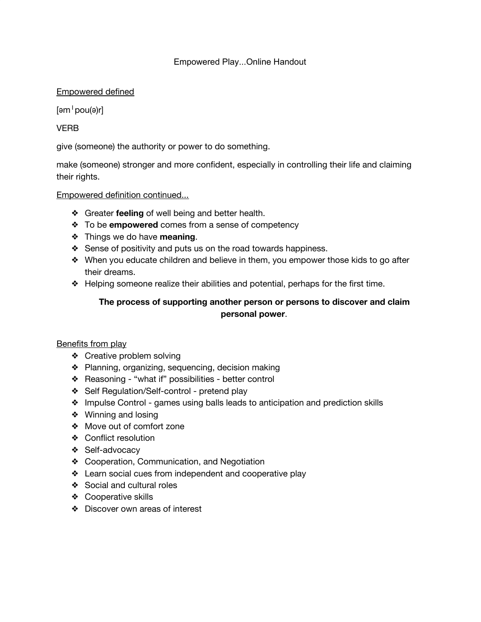## Empowered Play...Online Handout

# Empowered defined

 $[əm<sup>1</sup>pou(ə)r]$ 

# VERB

give (someone) the authority or power to do something.

make (someone) stronger and more confident, especially in controlling their life and claiming their rights.

## Empowered definition continued...

- ❖ Greater **feeling** of well being and better health.
- ❖ To be **empowered** comes from a sense of competency
- ❖ Things we do have **meaning**.
- ❖ Sense of positivity and puts us on the road towards happiness.
- ❖ When you educate children and believe in them, you empower those kids to go after their dreams.
- ❖ Helping someone realize their abilities and potential, perhaps for the first time.

# **The process of supporting another person or persons to discover and claim personal power**.

## Benefits from play

- ❖ Creative problem solving
- ❖ Planning, organizing, sequencing, decision making
- ❖ Reasoning "what if" possibilities better control
- ❖ Self Regulation/Self-control pretend play
- ❖ Impulse Control games using balls leads to anticipation and prediction skills
- ❖ Winning and losing
- ❖ Move out of comfort zone
- ❖ Conflict resolution
- ❖ Self-advocacy
- ❖ Cooperation, Communication, and Negotiation
- ❖ Learn social cues from independent and cooperative play
- ❖ Social and cultural roles
- ❖ Cooperative skills
- ❖ Discover own areas of interest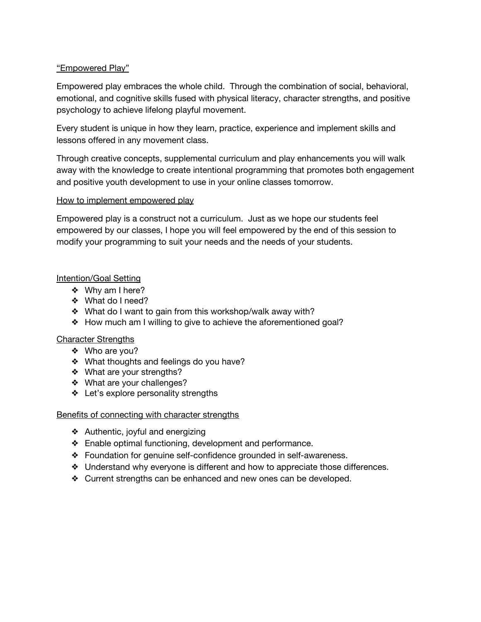## "Empowered Play"

Empowered play embraces the whole child. Through the combination of social, behavioral, emotional, and cognitive skills fused with physical literacy, character strengths, and positive psychology to achieve lifelong playful movement.

Every student is unique in how they learn, practice, experience and implement skills and lessons offered in any movement class.

Through creative concepts, supplemental curriculum and play enhancements you will walk away with the knowledge to create intentional programming that promotes both engagement and positive youth development to use in your online classes tomorrow.

## How to implement empowered play

Empowered play is a construct not a curriculum. Just as we hope our students feel empowered by our classes, I hope you will feel empowered by the end of this session to modify your programming to suit your needs and the needs of your students.

## Intention/Goal Setting

- ❖ Why am I here?
- ❖ What do I need?
- ❖ What do I want to gain from this workshop/walk away with?
- ❖ How much am I willing to give to achieve the aforementioned goal?

## Character Strengths

- ❖ Who are you?
- ❖ What thoughts and feelings do you have?
- ❖ What are your strengths?
- ❖ What are your challenges?
- ❖ Let's explore personality strengths

## Benefits of connecting with character strengths

- ❖ Authentic, joyful and energizing
- ❖ Enable optimal functioning, development and performance.
- ❖ Foundation for genuine self-confidence grounded in self-awareness.
- ❖ Understand why everyone is different and how to appreciate those differences.
- ❖ Current strengths can be enhanced and new ones can be developed.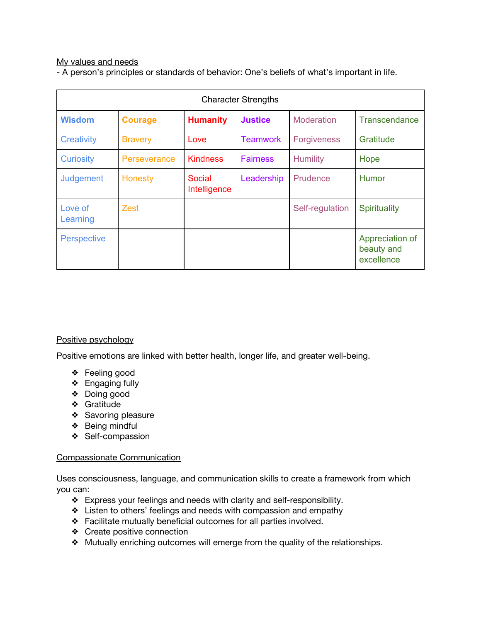#### My values and needs

- A person's principles or standards of behavior: One's beliefs of what's important in life.

| <b>Character Strengths</b> |                |                        |                 |                    |                                             |
|----------------------------|----------------|------------------------|-----------------|--------------------|---------------------------------------------|
| <b>Wisdom</b>              | <b>Courage</b> | <b>Humanity</b>        | <b>Justice</b>  | Moderation         | <b>Transcendance</b>                        |
| <b>Creativity</b>          | <b>Bravery</b> | Love                   | <b>Teamwork</b> | <b>Forgiveness</b> | Gratitude                                   |
| <b>Curiosity</b>           | Perseverance   | <b>Kindness</b>        | <b>Fairness</b> | <b>Humility</b>    | Hope                                        |
| Judgement                  | Honesty        | Social<br>Intelligence | Leadership      | Prudence           | <b>Humor</b>                                |
| Love of<br>Learning        | Zest           |                        |                 | Self-regulation    | <b>Spirituality</b>                         |
| <b>Perspective</b>         |                |                        |                 |                    | Appreciation of<br>beauty and<br>excellence |

## Positive psychology

Positive emotions are linked with better health, longer life, and greater well-being.

- ❖ Feeling good
- ❖ Engaging fully
- ❖ Doing good
- ❖ Gratitude
- ❖ Savoring pleasure
- ❖ Being mindful
- ❖ Self-compassion

#### Compassionate Communication

Uses consciousness, language, and communication skills to create a framework from which you can:

- ❖ Express your feelings and needs with clarity and self-responsibility.
- ❖ Listen to others' feelings and needs with compassion and empathy
- ❖ Facilitate mutually beneficial outcomes for all parties involved.
- ❖ Create positive connection
- ❖ Mutually enriching outcomes will emerge from the quality of the relationships.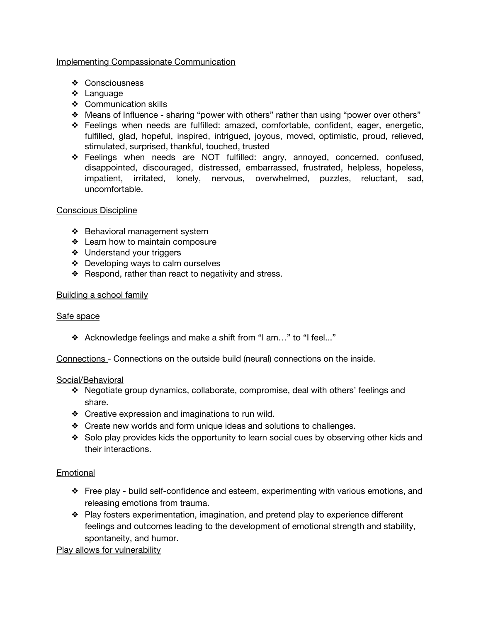## Implementing Compassionate Communication

- ❖ Consciousness
- ❖ Language
- ❖ Communication skills
- ❖ Means of Influence sharing "power with others" rather than using "power over others"
- ❖ Feelings when needs are fulfilled: amazed, comfortable, confident, eager, energetic, fulfilled, glad, hopeful, inspired, intrigued, joyous, moved, optimistic, proud, relieved, stimulated, surprised, thankful, touched, trusted
- ❖ Feelings when needs are NOT fulfilled: angry, annoyed, concerned, confused, disappointed, discouraged, distressed, embarrassed, frustrated, helpless, hopeless, impatient, irritated, lonely, nervous, overwhelmed, puzzles, reluctant, sad, uncomfortable.

#### Conscious Discipline

- ❖ Behavioral management system
- ❖ Learn how to maintain composure
- ❖ Understand your triggers
- ❖ Developing ways to calm ourselves
- ❖ Respond, rather than react to negativity and stress.

#### Building a school family

## Safe space

❖ Acknowledge feelings and make a shift from "I am…" to "I feel..."

Connections - Connections on the outside build (neural) connections on the inside.

#### Social/Behavioral

- ❖ Negotiate group dynamics, collaborate, compromise, deal with others' feelings and share.
- ❖ Creative expression and imaginations to run wild.
- ❖ Create new worlds and form unique ideas and solutions to challenges.
- ❖ Solo play provides kids the opportunity to learn social cues by observing other kids and their interactions.

## Emotional

- ❖ Free play build self-confidence and esteem, experimenting with various emotions, and releasing emotions from trauma.
- ❖ Play fosters experimentation, imagination, and pretend play to experience different feelings and outcomes leading to the development of emotional strength and stability, spontaneity, and humor.

Play allows for vulnerability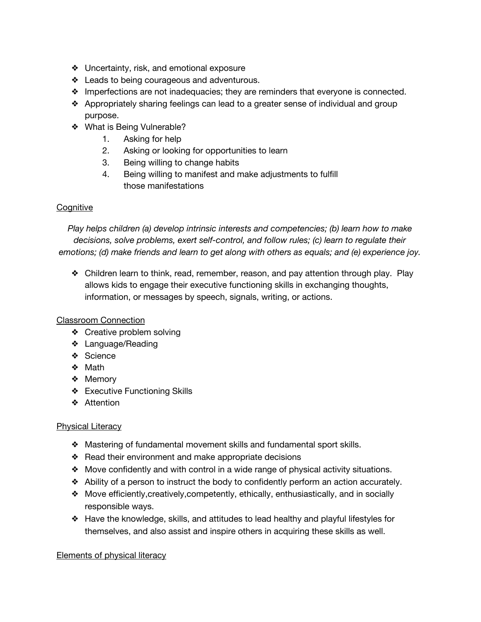- ❖ Uncertainty, risk, and emotional exposure
- ❖ Leads to being courageous and adventurous.
- ❖ Imperfections are not inadequacies; they are reminders that everyone is connected.
- ❖ Appropriately sharing feelings can lead to a greater sense of individual and group purpose.
- ❖ What is Being Vulnerable?
	- 1. Asking for help
	- 2. Asking or looking for opportunities to learn
	- 3. Being willing to change habits
	- 4. Being willing to manifest and make adjustments to fulfill those manifestations

# **Cognitive**

*Play helps children (a) develop intrinsic interests and competencies; (b) learn how to make decisions, solve problems, exert self-control, and follow rules; (c) learn to regulate their emotions; (d) make friends and learn to get along with others as equals; and (e) experience joy.*

❖ Children learn to think, read, remember, reason, and pay attention through play. Play allows kids to engage their executive functioning skills in exchanging thoughts, information, or messages by speech, signals, writing, or actions.

# Classroom Connection

- ❖ Creative problem solving
- ❖ Language/Reading
- ❖ Science
- ❖ Math
- ❖ Memory
- ❖ Executive Functioning Skills
- ❖ Attention

## Physical Literacy

- ❖ Mastering of fundamental movement skills and fundamental sport skills.
- ❖ Read their environment and make appropriate decisions
- ❖ Move confidently and with control in a wide range of physical activity situations.
- ❖ Ability of a person to instruct the body to confidently perform an action accurately.
- ❖ Move efficiently,creatively,competently, ethically, enthusiastically, and in socially responsible ways.
- ❖ Have the knowledge, skills, and attitudes to lead healthy and playful lifestyles for themselves, and also assist and inspire others in acquiring these skills as well.

## Elements of physical literacy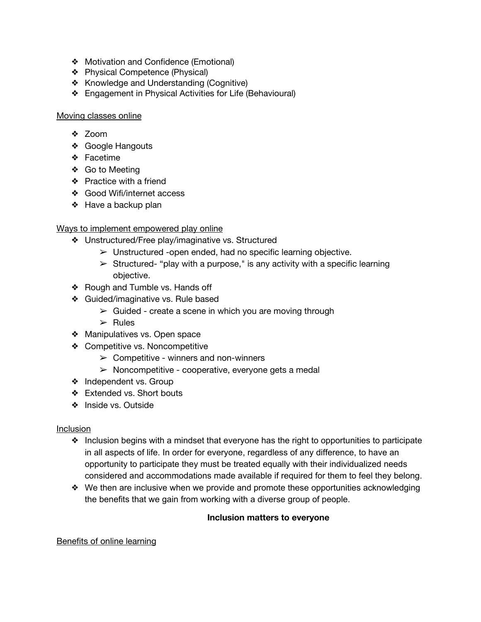- ❖ Motivation and Confidence (Emotional)
- ❖ Physical Competence (Physical)
- ❖ Knowledge and Understanding (Cognitive)
- ❖ Engagement in Physical Activities for Life (Behavioural)

#### Moving classes online

- ❖ Zoom
- ❖ Google Hangouts
- ❖ Facetime
- ❖ Go to Meeting
- ❖ Practice with a friend
- ❖ Good Wifi/internet access
- ❖ Have a backup plan

## Ways to implement empowered play online

- ❖ Unstructured/Free play/imaginative vs. Structured
	- $\triangleright$  Unstructured -open ended, had no specific learning objective.
	- $\triangleright$  Structured- "play with a purpose," is any activity with a specific learning objective.
- ❖ Rough and Tumble vs. Hands off
- ❖ Guided/imaginative vs. Rule based
	- $\triangleright$  Guided create a scene in which you are moving through
	- $\triangleright$  Rules
- ❖ Manipulatives vs. Open space
- ❖ Competitive vs. Noncompetitive
	- $\triangleright$  Competitive winners and non-winners
	- $\triangleright$  Noncompetitive cooperative, everyone gets a medal
- ❖ Independent vs. Group
- ❖ Extended vs. Short bouts
- ❖ Inside vs. Outside

## Inclusion

- ❖ Inclusion begins with a mindset that everyone has the right to opportunities to participate in all aspects of life. In order for everyone, regardless of any difference, to have an opportunity to participate they must be treated equally with their individualized needs considered and accommodations made available if required for them to feel they belong.
- ❖ We then are inclusive when we provide and promote these opportunities acknowledging the benefits that we gain from working with a diverse group of people.

## **Inclusion matters to everyone**

## Benefits of online learning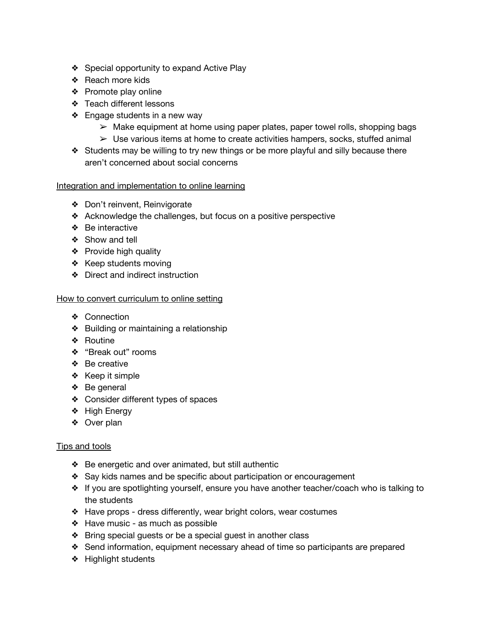- ❖ Special opportunity to expand Active Play
- ❖ Reach more kids
- ❖ Promote play online
- ❖ Teach different lessons
- ❖ Engage students in a new way
	- ➢ Make equipment at home using paper plates, paper towel rolls, shopping bags
	- $\triangleright$  Use various items at home to create activities hampers, socks, stuffed animal
- ❖ Students may be willing to try new things or be more playful and silly because there aren't concerned about social concerns

#### Integration and implementation to online learning

- ❖ Don't reinvent, Reinvigorate
- ❖ Acknowledge the challenges, but focus on a positive perspective
- ❖ Be interactive
- ❖ Show and tell
- ❖ Provide high quality
- ❖ Keep students moving
- ❖ Direct and indirect instruction

#### How to convert curriculum to online setting

- ❖ Connection
- ❖ Building or maintaining a relationship
- ❖ Routine
- ❖ "Break out" rooms
- ❖ Be creative
- ❖ Keep it simple
- ❖ Be general
- ❖ Consider different types of spaces
- ❖ High Energy
- ❖ Over plan

#### Tips and tools

- ❖ Be energetic and over animated, but still authentic
- ❖ Say kids names and be specific about participation or encouragement
- ❖ If you are spotlighting yourself, ensure you have another teacher/coach who is talking to the students
- ❖ Have props dress differently, wear bright colors, wear costumes
- ❖ Have music as much as possible
- ❖ Bring special guests or be a special guest in another class
- ❖ Send information, equipment necessary ahead of time so participants are prepared
- ❖ Highlight students